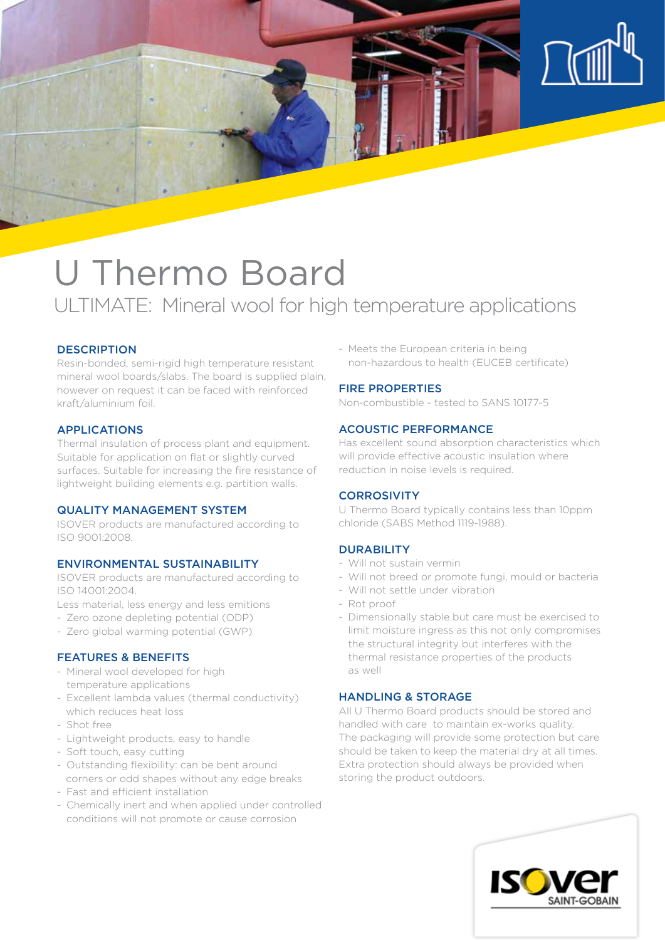

# U Thermo Board

# ULTIMATE: Mineral wool for high temperature applications

# **DESCRIPTION**

Resin-bonded, semi-rigid high temperature resistant mineral wool boards/slabs. The board is supplied plain, however on request it can be faced with reinforced kraft/aluminium foil.

#### APPLICATIONS

Thermal insulation of process plant and equipment. Suitable for application on flat or slightly curved surfaces. Suitable for increasing the fire resistance of lightweight building elements e.g. partition walls.

#### QUALITY MANAGEMENT SYSTEM

ISOVER products are manufactured according to ISO 9001:2008.

## ENVIRONMENTAL SUSTAINABILITY

ISOVER products are manufactured according to ISO 14001:2004.

- Less material, less energy and less emitions
- Zero ozone depleting potential (ODP)
- Zero global warming potential (GWP)

#### FEATURES & BENEFITS

- Mineral wool developed for high temperature applications
- Excellent lambda values (thermal conductivity) which reduces heat loss
- Shot free
- Lightweight products, easy to handle
- Soft touch, easy cutting
- Outstanding flexibility: can be bent around corners or odd shapes without any edge breaks
- Fast and efficient installation
- Chemically inert and when applied under controlled conditions will not promote or cause corrosion

- Meets the European criteria in being non-hazardous to health (EUCEB certificate)

#### FIRE PROPERTIES

Non-combustible - tested to SANS 10177-5

#### ACOUSTIC PERFORMANCE

Has excellent sound absorption characteristics which will provide effective acoustic insulation where reduction in noise levels is required.

# **CORROSIVITY**

U Thermo Board typically contains less than 10ppm chloride (SABS Method 1119-1988).

## DURABILITY

- Will not sustain vermin
- Will not breed or promote fungi, mould or bacteria
- Will not settle under vibration
- Rot proof
- Dimensionally stable but care must be exercised to limit moisture ingress as this not only compromises the structural integrity but interferes with the thermal resistance properties of the products as well

### HANDLING & STORAGE

All U Thermo Board products should be stored and handled with care to maintain ex-works quality. The packaging will provide some protection but care should be taken to keep the material dry at all times. Extra protection should always be provided when storing the product outdoors.